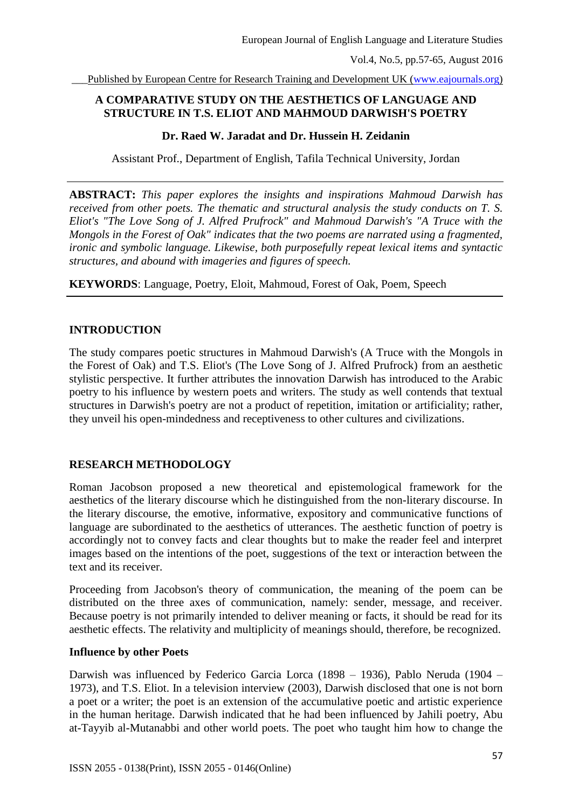Published by European Centre for Research Training and Development UK [\(www.eajournals.org\)](http://www.eajournals.org/)

# **A COMPARATIVE STUDY ON THE AESTHETICS OF LANGUAGE AND STRUCTURE IN T.S. ELIOT AND MAHMOUD DARWISH'S POETRY**

#### **Dr. Raed W. Jaradat and Dr. Hussein H. Zeidanin**

Assistant Prof., Department of English, Tafila Technical University, Jordan

**ABSTRACT:** *This paper explores the insights and inspirations Mahmoud Darwish has received from other poets. The thematic and structural analysis the study conducts on T. S. Eliot's "The Love Song of J. Alfred Prufrock" and Mahmoud Darwish's "A Truce with the Mongols in the Forest of Oak" indicates that the two poems are narrated using a fragmented, ironic and symbolic language. Likewise, both purposefully repeat lexical items and syntactic structures, and abound with imageries and figures of speech.*

**KEYWORDS**: Language, Poetry, Eloit, Mahmoud, Forest of Oak, Poem, Speech

### **INTRODUCTION**

The study compares poetic structures in Mahmoud Darwish's (A Truce with the Mongols in the Forest of Oak) and T.S. Eliot's (The Love Song of J. Alfred Prufrock) from an aesthetic stylistic perspective. It further attributes the innovation Darwish has introduced to the Arabic poetry to his influence by western poets and writers. The study as well contends that textual structures in Darwish's poetry are not a product of repetition, imitation or artificiality; rather, they unveil his open-mindedness and receptiveness to other cultures and civilizations.

## **RESEARCH METHODOLOGY**

Roman Jacobson proposed a new theoretical and epistemological framework for the aesthetics of the literary discourse which he distinguished from the non-literary discourse. In the literary discourse, the emotive, informative, expository and communicative functions of language are subordinated to the aesthetics of utterances. The aesthetic function of poetry is accordingly not to convey facts and clear thoughts but to make the reader feel and interpret images based on the intentions of the poet, suggestions of the text or interaction between the text and its receiver.

Proceeding from Jacobson's theory of communication, the meaning of the poem can be distributed on the three axes of communication, namely: sender, message, and receiver. Because poetry is not primarily intended to deliver meaning or facts, it should be read for its aesthetic effects. The relativity and multiplicity of meanings should, therefore, be recognized.

#### **Influence by other Poets**

Darwish was influenced by Federico Garcia Lorca (1898 – 1936), Pablo Neruda (1904 – 1973), and T.S. Eliot. In a television interview (2003), Darwish disclosed that one is not born a poet or a writer; the poet is an extension of the accumulative poetic and artistic experience in the human heritage. Darwish indicated that he had been influenced by Jahili poetry, Abu at-Tayyib al-Mutanabbi and other world poets. The poet who taught him how to change the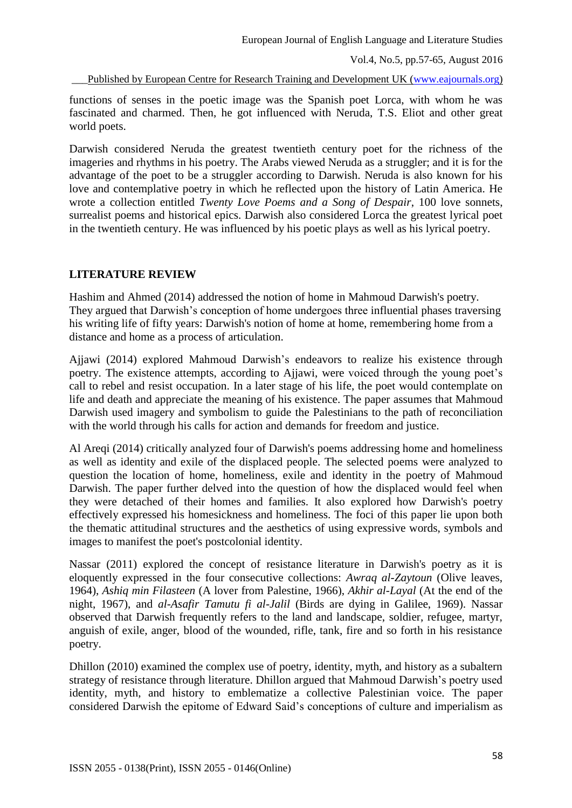Published by European Centre for Research Training and Development UK [\(www.eajournals.org\)](http://www.eajournals.org/)

functions of senses in the poetic image was the Spanish poet Lorca, with whom he was fascinated and charmed. Then, he got influenced with Neruda, T.S. Eliot and other great world poets.

Darwish considered Neruda the greatest twentieth century poet for the richness of the imageries and rhythms in his poetry. The Arabs viewed Neruda as a struggler; and it is for the advantage of the poet to be a struggler according to Darwish. Neruda is also known for his love and contemplative poetry in which he reflected upon the history of Latin America. He wrote a collection entitled *Twenty Love Poems and a Song of Despair*, 100 love sonnets, surrealist poems and historical epics. Darwish also considered Lorca the greatest lyrical poet in the twentieth century. He was influenced by his poetic plays as well as his lyrical poetry.

# **LITERATURE REVIEW**

Hashim and Ahmed (2014) addressed the notion of home in Mahmoud Darwish's poetry. They argued that Darwish's conception of home undergoes three influential phases traversing his writing life of fifty years: Darwish's notion of home at home, remembering home from a distance and home as a process of articulation.

Ajjawi (2014) explored Mahmoud Darwish's endeavors to realize his existence through poetry. The existence attempts, according to Ajjawi, were voiced through the young poet's call to rebel and resist occupation. In a later stage of his life, the poet would contemplate on life and death and appreciate the meaning of his existence. The paper assumes that Mahmoud Darwish used imagery and symbolism to guide the Palestinians to the path of reconciliation with the world through his calls for action and demands for freedom and justice.

Al Areqi (2014) critically analyzed four of Darwish's poems addressing home and homeliness as well as identity and exile of the displaced people. The selected poems were analyzed to question the location of home, homeliness, exile and identity in the poetry of Mahmoud Darwish. The paper further delved into the question of how the displaced would feel when they were detached of their homes and families. It also explored how Darwish's poetry effectively expressed his homesickness and homeliness. The foci of this paper lie upon both the thematic attitudinal structures and the aesthetics of using expressive words, symbols and images to manifest the poet's postcolonial identity.

Nassar (2011) explored the concept of resistance literature in Darwish's poetry as it is eloquently expressed in the four consecutive collections: *Awraq al-Zaytoun* (Olive leaves, 1964), *Ashiq min Filasteen* (A lover from Palestine, 1966), *Akhir al-Layal* (At the end of the night, 1967), and *al-Asafir Tamutu fi al-Jalil* (Birds are dying in Galilee, 1969). Nassar observed that Darwish frequently refers to the land and landscape, soldier, refugee, martyr, anguish of exile, anger, blood of the wounded, rifle, tank, fire and so forth in his resistance poetry.

Dhillon (2010) examined the complex use of poetry, identity, myth, and history as a subaltern strategy of resistance through literature. Dhillon argued that Mahmoud Darwish's poetry used identity, myth, and history to emblematize a collective Palestinian voice. The paper considered Darwish the epitome of Edward Said's conceptions of culture and imperialism as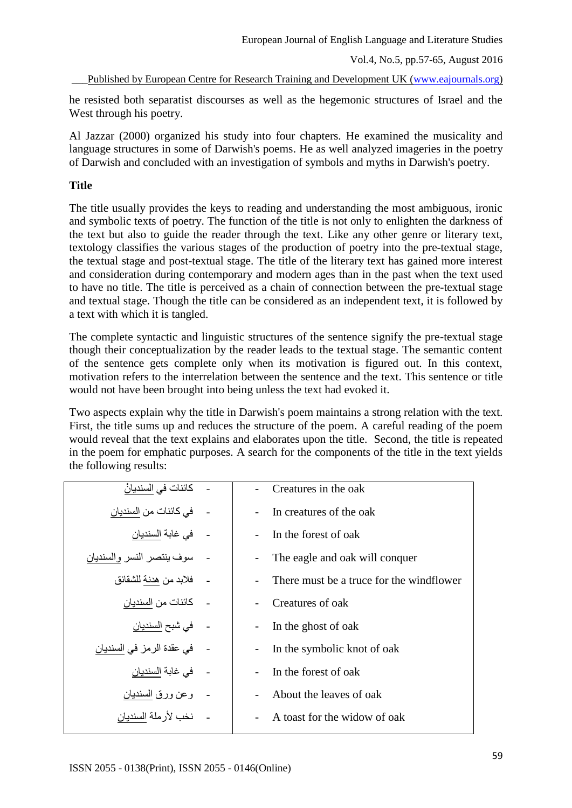Published by European Centre for Research Training and Development UK [\(www.eajournals.org\)](http://www.eajournals.org/)

he resisted both separatist discourses as well as the hegemonic structures of Israel and the West through his poetry.

Al Jazzar (2000) organized his study into four chapters. He examined the musicality and language structures in some of Darwish's poems. He as well analyzed imageries in the poetry of Darwish and concluded with an investigation of symbols and myths in Darwish's poetry.

# **Title**

The title usually provides the keys to reading and understanding the most ambiguous, ironic and symbolic texts of poetry. The function of the title is not only to enlighten the darkness of the text but also to guide the reader through the text. Like any other genre or literary text, textology classifies the various stages of the production of poetry into the pre-textual stage, the textual stage and post-textual stage. The title of the literary text has gained more interest and consideration during contemporary and modern ages than in the past when the text used to have no title. The title is perceived as a chain of connection between the pre-textual stage and textual stage. Though the title can be considered as an independent text, it is followed by a text with which it is tangled.

The complete syntactic and linguistic structures of the sentence signify the pre-textual stage though their conceptualization by the reader leads to the textual stage. The semantic content of the sentence gets complete only when its motivation is figured out. In this context, motivation refers to the interrelation between the sentence and the text. This sentence or title would not have been brought into being unless the text had evoked it.

Two aspects explain why the title in Darwish's poem maintains a strong relation with the text. First, the title sums up and reduces the structure of the poem. A careful reading of the poem would reveal that the text explains and elaborates upon the title. Second, the title is repeated in the poem for emphatic purposes. A search for the components of the title in the text yields the following results:

| كائنات في السنديانْ       | Creatures in the oak                     |
|---------------------------|------------------------------------------|
| في كائنات من السنديان     | In creatures of the oak                  |
| في غابة السنديان          | In the forest of oak                     |
| سوف ينتصر النسر والسنديان | The eagle and oak will conquer           |
| فلابد من هدنة للشقائق     | There must be a truce for the windflower |
| كائنات من السنديان        | Creatures of oak                         |
| - في شبح السنديا <i>ن</i> | In the ghost of oak                      |
| في عقدة الرمز في السنديان | In the symbolic knot of oak              |
| في غابة السنديان          | In the forest of oak                     |
| وعن ورق السنديان          | About the leaves of oak                  |
| نخب لأر ملة السنديان      | A toast for the widow of oak             |
|                           |                                          |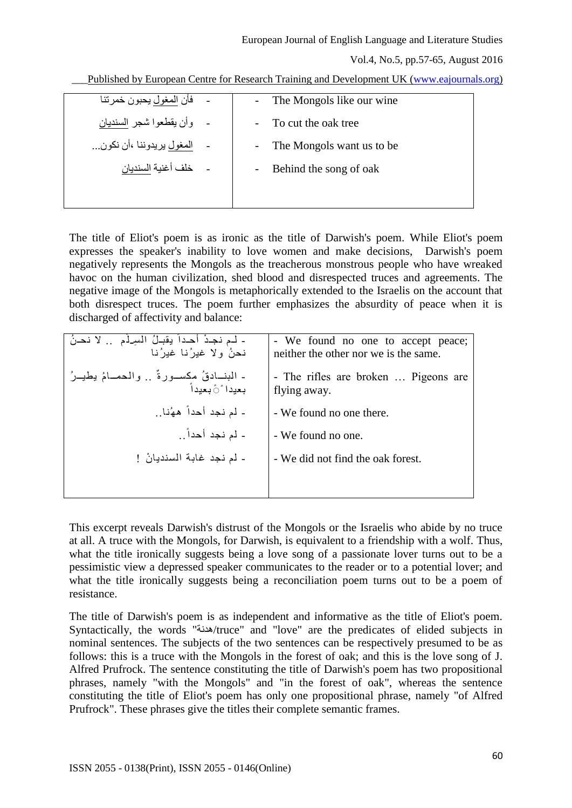Published by European Centre for Research Training and Development UK [\(www.eajournals.org\)](http://www.eajournals.org/)

| - The Mongols like our wine |
|-----------------------------|
| To cut the oak tree         |
| - The Mongols want us to be |
| Behind the song of oak      |
|                             |
|                             |

The title of Eliot's poem is as ironic as the title of Darwish's poem. While Eliot's poem expresses the speaker's inability to love women and make decisions, Darwish's poem negatively represents the Mongols as the treacherous monstrous people who have wreaked havoc on the human civilization, shed blood and disrespected truces and agreements. The negative image of the Mongols is metaphorically extended to the Israelis on the account that both disrespect truces. The poem further emphasizes the absurdity of peace when it is discharged of affectivity and balance:

| - لـم نجـدْ أحـداً يقبـلُ السِـلَمِ  لا نحـنُ<br>نحنُ ولا غدِر ُنا غدِر ُنا | - We found no one to accept peace;<br>neither the other nor we is the same. |
|-----------------------------------------------------------------------------|-----------------------------------------------------------------------------|
| - البنــادقُ مكسـورةٌ  والمحمــامُ يطيــرُ<br>بعيدا َ َبعيداً               | - The rifles are broken  Pigeons are<br>flying away.                        |
| - لم نجد أحداً ههُٰنا                                                       | - We found no one there.                                                    |
| - لم نجد أحداً                                                              | - We found no one.                                                          |
| - لم نجد غابة السنديانْ !                                                   | - We did not find the oak forest.                                           |
|                                                                             |                                                                             |

This excerpt reveals Darwish's distrust of the Mongols or the Israelis who abide by no truce at all. A truce with the Mongols, for Darwish, is equivalent to a friendship with a wolf. Thus, what the title ironically suggests being a love song of a passionate lover turns out to be a pessimistic view a depressed speaker communicates to the reader or to a potential lover; and what the title ironically suggests being a reconciliation poem turns out to be a poem of resistance.

The title of Darwish's poem is as independent and informative as the title of Eliot's poem. Syntactically, the words "هدنة/truce" and "love" are the predicates of elided subjects in nominal sentences. The subjects of the two sentences can be respectively presumed to be as follows: this is a truce with the Mongols in the forest of oak; and this is the love song of J. Alfred Prufrock. The sentence constituting the title of Darwish's poem has two propositional phrases, namely "with the Mongols" and "in the forest of oak", whereas the sentence constituting the title of Eliot's poem has only one propositional phrase, namely "of Alfred Prufrock". These phrases give the titles their complete semantic frames.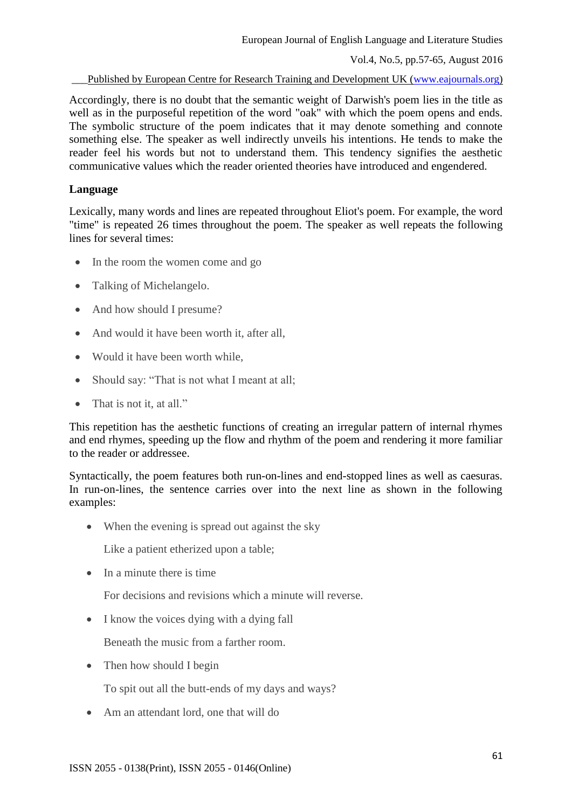Published by European Centre for Research Training and Development UK [\(www.eajournals.org\)](http://www.eajournals.org/)

Accordingly, there is no doubt that the semantic weight of Darwish's poem lies in the title as well as in the purposeful repetition of the word "oak" with which the poem opens and ends. The symbolic structure of the poem indicates that it may denote something and connote something else. The speaker as well indirectly unveils his intentions. He tends to make the reader feel his words but not to understand them. This tendency signifies the aesthetic communicative values which the reader oriented theories have introduced and engendered.

### **Language**

Lexically, many words and lines are repeated throughout Eliot's poem. For example, the word "time" is repeated 26 times throughout the poem. The speaker as well repeats the following lines for several times:

- In the room the women come and go
- Talking of Michelangelo.
- And how should I presume?
- And would it have been worth it, after all,
- Would it have been worth while.
- Should say: "That is not what I meant at all;
- That is not it, at all."

This repetition has the aesthetic functions of creating an irregular pattern of internal rhymes and end rhymes, speeding up the flow and rhythm of the poem and rendering it more familiar to the reader or addressee.

Syntactically, the poem features both run-on-lines and end-stopped lines as well as caesuras. In run-on-lines, the sentence carries over into the next line as shown in the following examples:

• When the evening is spread out against the sky

Like a patient etherized upon a table;

 $\bullet$  In a minute there is time

For decisions and revisions which a minute will reverse.

• I know the voices dying with a dying fall

Beneath the music from a farther room.

• Then how should I begin

To spit out all the butt-ends of my days and ways?

• Am an attendant lord, one that will do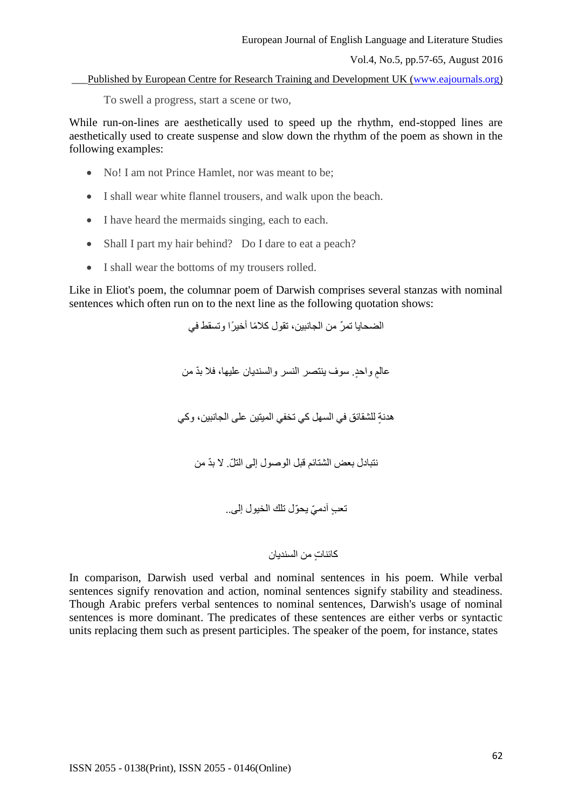\_\_\_Published by European Centre for Research Training and Development UK [\(www.eajournals.org\)](http://www.eajournals.org/)

To swell a progress, start a scene or two,

While run-on-lines are aesthetically used to speed up the rhythm, end-stopped lines are aesthetically used to create suspense and slow down the rhythm of the poem as shown in the following examples:

- No! I am not Prince Hamlet, nor was meant to be:
- I shall wear white flannel trousers, and walk upon the beach.
- I have heard the mermaids singing, each to each.
- Shall I part my hair behind? Do I dare to eat a peach?
- I shall wear the bottoms of my trousers rolled.

Like in Eliot's poem, the columnar poem of Darwish comprises several stanzas with nominal sentences which often run on to the next line as the following quotation shows:

> الضحايا تمرّ من الجانبين، تقول كلامًا أخيرًا و تسقط في عالمٍ واحدٍ. سوف ينتصر النسر والسنديان عليها، فلا بدّ من هدنة للشقائق في السهل كي تخفي الميتين على الجانبين، وكي نتبادل بعض الشتائم قبِل الوصول إلى التلّ لا بدّ من

> > تعب آدميّ يحوّل تلك الخيول إلى..

## كائنات من السندبان

In comparison, Darwish used verbal and nominal sentences in his poem. While verbal sentences signify renovation and action, nominal sentences signify stability and steadiness. Though Arabic prefers verbal sentences to nominal sentences, Darwish's usage of nominal sentences is more dominant. The predicates of these sentences are either verbs or syntactic units replacing them such as present participles. The speaker of the poem, for instance, states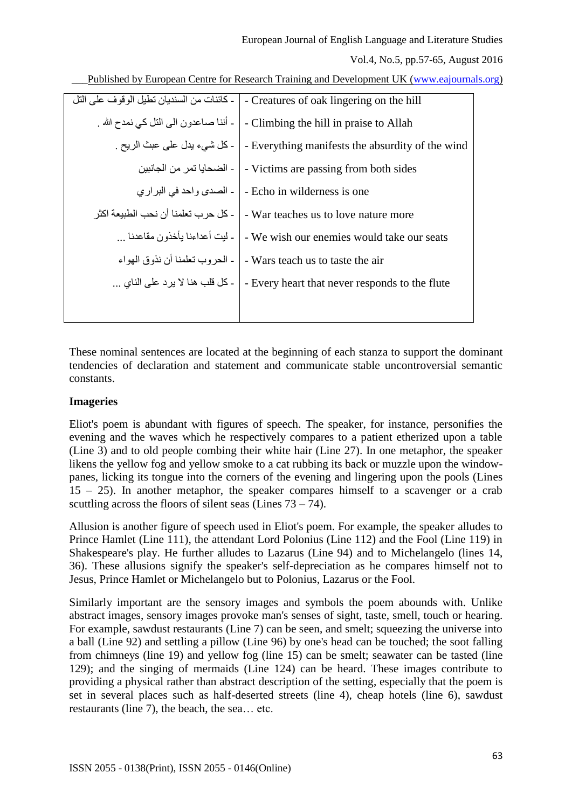Published by European Centre for Research Training and Development UK [\(www.eajournals.org\)](http://www.eajournals.org/)

| ـ كائنات من السنديان تطيل الو قو ف على التل | - Creatures of oak lingering on the hill         |
|---------------------------------------------|--------------------------------------------------|
| ۔ أننا صاعدون الی التل کی نمدح الله ۔       | - Climbing the hill in praise to Allah           |
| ۔ كل شيء يدل على عبث الريح .                | - Everything manifests the absurdity of the wind |
| ـ الضحايا تمر من الجانبين                   | - Victims are passing from both sides            |
| ۔ الصدي واحد في البراري                     | - Echo in wilderness is one                      |
| - كل حر ب تعلمنا أن نحب الطبيعة اكثر        | - War teaches us to love nature more             |
| - ليت أعداءنا يأخذون مقاعدنا                | - We wish our enemies would take our seats       |
| ـ الحر وب تعلمنا أن نذوق المواء             | - Wars teach us to taste the air                 |
| ـ كل قلب هنا لا يرد على الناي               | - Every heart that never responds to the flute   |
|                                             |                                                  |

These nominal sentences are located at the beginning of each stanza to support the dominant tendencies of declaration and statement and communicate stable uncontroversial semantic constants.

### **Imageries**

Eliot's poem is abundant with figures of speech. The speaker, for instance, personifies the evening and the waves which he respectively compares to a patient etherized upon a table (Line 3) and to old people combing their white hair (Line 27). In one metaphor, the speaker likens the yellow fog and yellow smoke to a cat rubbing its back or muzzle upon the windowpanes, licking its tongue into the corners of the evening and lingering upon the pools (Lines 15 – 25). In another metaphor, the speaker compares himself to a scavenger or a crab scuttling across the floors of silent seas (Lines  $73 - 74$ ).

Allusion is another figure of speech used in Eliot's poem. For example, the speaker alludes to Prince Hamlet (Line 111), the attendant Lord Polonius (Line 112) and the Fool (Line 119) in Shakespeare's play. He further alludes to Lazarus (Line 94) and to Michelangelo (lines 14, 36). These allusions signify the speaker's self-depreciation as he compares himself not to Jesus, Prince Hamlet or Michelangelo but to Polonius, Lazarus or the Fool.

Similarly important are the sensory images and symbols the poem abounds with. Unlike abstract images, sensory images provoke man's senses of sight, taste, smell, touch or hearing. For example, sawdust restaurants (Line 7) can be seen, and smelt; squeezing the universe into a ball (Line 92) and settling a pillow (Line 96) by one's head can be touched; the soot falling from chimneys (line 19) and yellow fog (line 15) can be smelt; seawater can be tasted (line 129); and the singing of mermaids (Line 124) can be heard. These images contribute to providing a physical rather than abstract description of the setting, especially that the poem is set in several places such as half-deserted streets (line 4), cheap hotels (line 6), sawdust restaurants (line 7), the beach, the sea… etc.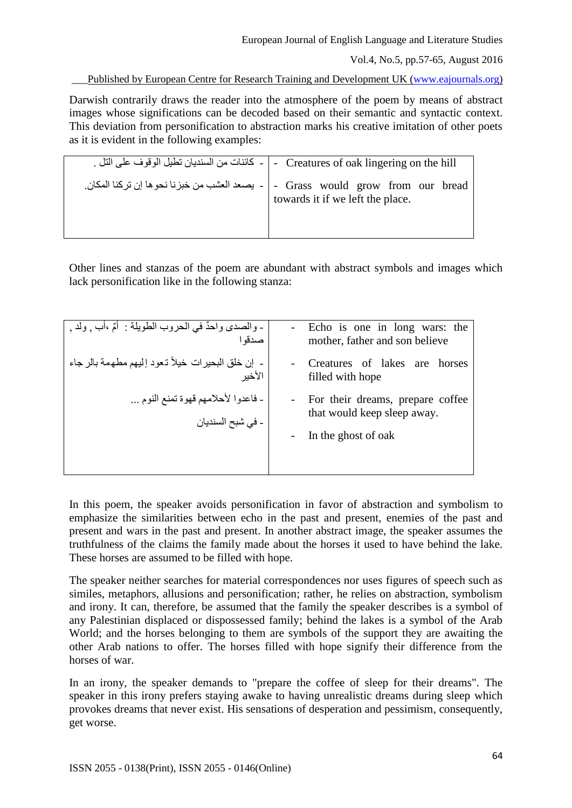European Journal of English Language and Literature Studies

Vol.4, No.5, pp.57-65, August 2016

Published by European Centre for Research Training and Development UK [\(www.eajournals.org\)](http://www.eajournals.org/)

Darwish contrarily draws the reader into the atmosphere of the poem by means of abstract images whose significations can be decoded based on their semantic and syntactic context. This deviation from personification to abstraction marks his creative imitation of other poets as it is evident in the following examples:

| Grass would grow from our bread - يصعد العشب من خبزنا نحوها إن تركنا المكان.<br>towards it if we left the place. |
|------------------------------------------------------------------------------------------------------------------|

Other lines and stanzas of the poem are abundant with abstract symbols and images which lack personification like in the following stanza:

| ـ والصدي واحدٌ في الحروب الطويلة : ۖ أُمِّ ،أب ¸ ولد ¸ | - Echo is one in long wars: the    |
|--------------------------------------------------------|------------------------------------|
| صدقوا                                                  | mother, father and son believe     |
| - إن خلق البحيرات خيلاً تـعود إليهم مطـهمة بالر جاء    | Creatures of lakes are horses      |
| الأخير                                                 | filled with hope                   |
| - فاعدوا لأحلامهم قهوة تمنع النوم                      | - For their dreams, prepare coffee |
| ۔ فی شبح السندیان                                      | that would keep sleep away.        |
|                                                        | In the ghost of oak                |

In this poem, the speaker avoids personification in favor of abstraction and symbolism to emphasize the similarities between echo in the past and present, enemies of the past and present and wars in the past and present. In another abstract image, the speaker assumes the truthfulness of the claims the family made about the horses it used to have behind the lake. These horses are assumed to be filled with hope.

The speaker neither searches for material correspondences nor uses figures of speech such as similes, metaphors, allusions and personification; rather, he relies on abstraction, symbolism and irony. It can, therefore, be assumed that the family the speaker describes is a symbol of any Palestinian displaced or dispossessed family; behind the lakes is a symbol of the Arab World; and the horses belonging to them are symbols of the support they are awaiting the other Arab nations to offer. The horses filled with hope signify their difference from the horses of war.

In an irony, the speaker demands to "prepare the coffee of sleep for their dreams". The speaker in this irony prefers staying awake to having unrealistic dreams during sleep which provokes dreams that never exist. His sensations of desperation and pessimism, consequently, get worse.